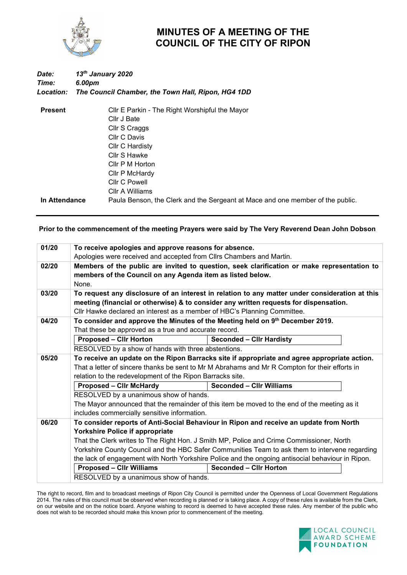

## **MINUTES OF A MEETING OF THE COUNCIL OF THE CITY OF RIPON**

| Date:          | 13th January 2020                                  |
|----------------|----------------------------------------------------|
| Time:          | 6.00pm                                             |
| Location:      | The Council Chamber, the Town Hall, Ripon, HG4 1DD |
| <b>Present</b> | Cllr E Parkin - The Right Worshipful the Mayor     |
|                | Cllr J Bate                                        |

|               | Cllr J Bate                                                                    |
|---------------|--------------------------------------------------------------------------------|
|               | Cllr S Craggs                                                                  |
|               | Cllr C Davis                                                                   |
|               | Cllr C Hardisty                                                                |
|               | Cllr S Hawke                                                                   |
|               | Cllr P M Horton                                                                |
|               | Cllr P McHardy                                                                 |
|               | Cllr C Powell                                                                  |
|               | Cllr A Williams                                                                |
| In Attendance | Paula Benson, the Clerk and the Sergeant at Mace and one member of the public. |

## **Prior to the commencement of the meeting Prayers were said by The Very Reverend Dean John Dobson**

| 01/20 | To receive apologies and approve reasons for absence.                                             |                                                                                                |  |  |  |  |
|-------|---------------------------------------------------------------------------------------------------|------------------------------------------------------------------------------------------------|--|--|--|--|
|       | Apologies were received and accepted from Cllrs Chambers and Martin.                              |                                                                                                |  |  |  |  |
| 02/20 |                                                                                                   | Members of the public are invited to question, seek clarification or make representation to    |  |  |  |  |
|       | members of the Council on any Agenda item as listed below.                                        |                                                                                                |  |  |  |  |
|       | None.                                                                                             |                                                                                                |  |  |  |  |
| 03/20 |                                                                                                   | To request any disclosure of an interest in relation to any matter under consideration at this |  |  |  |  |
|       |                                                                                                   | meeting (financial or otherwise) & to consider any written requests for dispensation.          |  |  |  |  |
|       | Cllr Hawke declared an interest as a member of HBC's Planning Committee.                          |                                                                                                |  |  |  |  |
| 04/20 | To consider and approve the Minutes of the Meeting held on 9 <sup>th</sup> December 2019.         |                                                                                                |  |  |  |  |
|       | That these be approved as a true and accurate record.                                             |                                                                                                |  |  |  |  |
|       | <b>Proposed - Clir Horton</b>                                                                     | <b>Seconded - Cllr Hardisty</b>                                                                |  |  |  |  |
|       | RESOLVED by a show of hands with three abstentions.                                               |                                                                                                |  |  |  |  |
| 05/20 |                                                                                                   | To receive an update on the Ripon Barracks site if appropriate and agree appropriate action.   |  |  |  |  |
|       | That a letter of sincere thanks be sent to Mr M Abrahams and Mr R Compton for their efforts in    |                                                                                                |  |  |  |  |
|       | relation to the redevelopment of the Ripon Barracks site.                                         |                                                                                                |  |  |  |  |
|       | <b>Seconded - Cllr Williams</b><br><b>Proposed - Cllr McHardy</b>                                 |                                                                                                |  |  |  |  |
|       | RESOLVED by a unanimous show of hands.                                                            |                                                                                                |  |  |  |  |
|       |                                                                                                   | The Mayor announced that the remainder of this item be moved to the end of the meeting as it   |  |  |  |  |
|       | includes commercially sensitive information.                                                      |                                                                                                |  |  |  |  |
| 06/20 |                                                                                                   | To consider reports of Anti-Social Behaviour in Ripon and receive an update from North         |  |  |  |  |
|       | <b>Yorkshire Police if appropriate</b>                                                            |                                                                                                |  |  |  |  |
|       | That the Clerk writes to The Right Hon. J Smith MP, Police and Crime Commissioner, North          |                                                                                                |  |  |  |  |
|       | Yorkshire County Council and the HBC Safer Communities Team to ask them to intervene regarding    |                                                                                                |  |  |  |  |
|       | the lack of engagement with North Yorkshire Police and the ongoing antisocial behaviour in Ripon. |                                                                                                |  |  |  |  |
|       | <b>Proposed - Cllr Williams</b>                                                                   | <b>Seconded - Cllr Horton</b>                                                                  |  |  |  |  |
|       | RESOLVED by a unanimous show of hands.                                                            |                                                                                                |  |  |  |  |

The right to record, film and to broadcast meetings of Ripon City Council is permitted under the Openness of Local Government Regulations 2014. The rules of this council must be observed when recording is planned or is taking place. A copy of these rules is available from the Clerk, on our website and on the notice board. Anyone wishing to record is deemed to have accepted these rules. Any member of the public who does not wish to be recorded should make this known prior to commencement of the meeting.

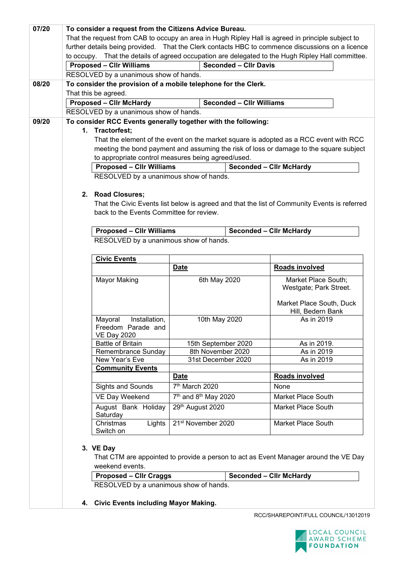| 07/20 |                                                                                                                                                                                 | To consider a request from the Citizens Advice Bureau.         |                                              |                                 |                                                                                                   |
|-------|---------------------------------------------------------------------------------------------------------------------------------------------------------------------------------|----------------------------------------------------------------|----------------------------------------------|---------------------------------|---------------------------------------------------------------------------------------------------|
|       |                                                                                                                                                                                 |                                                                |                                              |                                 | That the request from CAB to occupy an area in Hugh Ripley Hall is agreed in principle subject to |
|       |                                                                                                                                                                                 |                                                                |                                              |                                 | further details being provided. That the Clerk contacts HBC to commence discussions on a licence  |
|       |                                                                                                                                                                                 |                                                                |                                              |                                 | to occupy. That the details of agreed occupation are delegated to the Hugh Ripley Hall committee. |
|       |                                                                                                                                                                                 | <b>Proposed - Cllr Williams</b>                                |                                              | <b>Seconded - Cllr Davis</b>    |                                                                                                   |
|       |                                                                                                                                                                                 | RESOLVED by a unanimous show of hands.                         |                                              |                                 |                                                                                                   |
| 08/20 |                                                                                                                                                                                 | To consider the provision of a mobile telephone for the Clerk. |                                              |                                 |                                                                                                   |
|       |                                                                                                                                                                                 | That this be agreed.                                           |                                              |                                 |                                                                                                   |
|       |                                                                                                                                                                                 | <b>Proposed - Clir McHardy</b>                                 |                                              | <b>Seconded - Cllr Williams</b> |                                                                                                   |
|       |                                                                                                                                                                                 | RESOLVED by a unanimous show of hands.                         |                                              |                                 |                                                                                                   |
| 09/20 |                                                                                                                                                                                 | To consider RCC Events generally together with the following:  |                                              |                                 |                                                                                                   |
|       |                                                                                                                                                                                 | 1. Tractorfest;                                                |                                              |                                 |                                                                                                   |
|       | That the element of the event on the market square is adopted as a RCC event with RCC<br>meeting the bond payment and assuming the risk of loss or damage to the square subject |                                                                |                                              |                                 |                                                                                                   |
|       |                                                                                                                                                                                 | to appropriate control measures being agreed/used.             |                                              |                                 |                                                                                                   |
|       |                                                                                                                                                                                 | <b>Proposed - Cllr Williams</b>                                |                                              |                                 | <b>Seconded - Clir McHardy</b>                                                                    |
|       |                                                                                                                                                                                 | RESOLVED by a unanimous show of hands.                         |                                              |                                 |                                                                                                   |
|       |                                                                                                                                                                                 |                                                                |                                              |                                 |                                                                                                   |
|       |                                                                                                                                                                                 | 2. Road Closures:                                              |                                              |                                 |                                                                                                   |
|       |                                                                                                                                                                                 |                                                                |                                              |                                 | That the Civic Events list below is agreed and that the list of Community Events is referred      |
|       |                                                                                                                                                                                 | back to the Events Committee for review.                       |                                              |                                 |                                                                                                   |
|       |                                                                                                                                                                                 |                                                                |                                              |                                 |                                                                                                   |
|       |                                                                                                                                                                                 | <b>Proposed - Cllr Williams</b>                                |                                              |                                 | <b>Seconded - Clir McHardy</b>                                                                    |
|       |                                                                                                                                                                                 | RESOLVED by a unanimous show of hands.                         |                                              |                                 |                                                                                                   |
|       |                                                                                                                                                                                 |                                                                |                                              |                                 |                                                                                                   |
|       |                                                                                                                                                                                 | <b>Civic Events</b>                                            |                                              |                                 |                                                                                                   |
|       |                                                                                                                                                                                 |                                                                | <b>Date</b>                                  |                                 | <b>Roads involved</b>                                                                             |
|       |                                                                                                                                                                                 | <b>Mayor Making</b>                                            | 6th May 2020                                 |                                 | Market Place South;<br>Westgate; Park Street.                                                     |
|       |                                                                                                                                                                                 |                                                                |                                              |                                 | Market Place South, Duck<br>Hill, Bedern Bank                                                     |
|       |                                                                                                                                                                                 | Installation,<br>Mayoral                                       | 10th May 2020                                |                                 | As in 2019                                                                                        |
|       |                                                                                                                                                                                 | Freedom Parade and                                             |                                              |                                 |                                                                                                   |
|       |                                                                                                                                                                                 | <b>VE Day 2020</b>                                             |                                              |                                 |                                                                                                   |
|       |                                                                                                                                                                                 | <b>Battle of Britain</b><br>Remembrance Sunday                 | 15th September 2020<br>8th November 2020     |                                 | As in 2019.<br>As in 2019                                                                         |
|       |                                                                                                                                                                                 | New Year's Eve                                                 | 31st December 2020                           |                                 | As in 2019                                                                                        |
|       |                                                                                                                                                                                 | <b>Community Events</b>                                        |                                              |                                 |                                                                                                   |
|       |                                                                                                                                                                                 |                                                                | <u>Date</u>                                  |                                 | <b>Roads involved</b>                                                                             |
|       |                                                                                                                                                                                 | Sights and Sounds                                              | 7 <sup>th</sup> March 2020                   |                                 | None                                                                                              |
|       |                                                                                                                                                                                 | VE Day Weekend                                                 | 7 <sup>th</sup> and 8 <sup>th</sup> May 2020 |                                 | <b>Market Place South</b>                                                                         |
|       |                                                                                                                                                                                 | August Bank Holiday                                            | 29th August 2020                             |                                 | <b>Market Place South</b>                                                                         |
|       |                                                                                                                                                                                 | Saturday                                                       |                                              |                                 |                                                                                                   |
|       |                                                                                                                                                                                 | Christmas<br>Lights<br>Switch on                               | 21st November 2020                           |                                 | <b>Market Place South</b>                                                                         |
|       |                                                                                                                                                                                 |                                                                |                                              |                                 |                                                                                                   |
|       |                                                                                                                                                                                 | 3. VE Day                                                      |                                              |                                 |                                                                                                   |
|       |                                                                                                                                                                                 |                                                                |                                              |                                 | That CTM are appointed to provide a person to act as Event Manager around the VE Day              |
|       |                                                                                                                                                                                 | weekend events.                                                |                                              |                                 |                                                                                                   |
|       |                                                                                                                                                                                 | <b>Proposed - Cllr Craggs</b>                                  |                                              |                                 | <b>Seconded - Clir McHardy</b>                                                                    |
|       |                                                                                                                                                                                 | RESOLVED by a unanimous show of hands.                         |                                              |                                 |                                                                                                   |
|       |                                                                                                                                                                                 |                                                                |                                              |                                 |                                                                                                   |
|       |                                                                                                                                                                                 | 4. Civic Events including Mayor Making.                        |                                              |                                 |                                                                                                   |

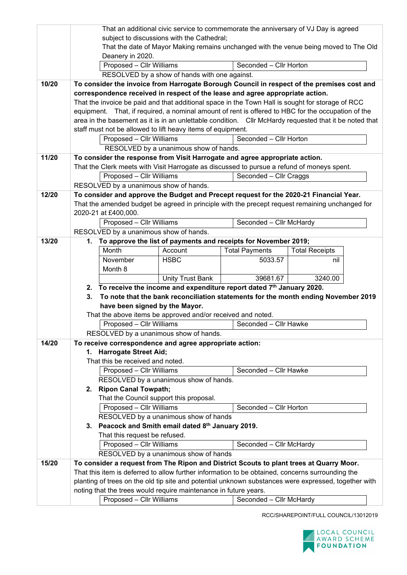|       |                                                                                            | That an additional civic service to commemorate the anniversary of VJ Day is agreed   |                                                                                                        |  |                         |                       |     |
|-------|--------------------------------------------------------------------------------------------|---------------------------------------------------------------------------------------|--------------------------------------------------------------------------------------------------------|--|-------------------------|-----------------------|-----|
|       | subject to discussions with the Cathedral;                                                 |                                                                                       |                                                                                                        |  |                         |                       |     |
|       |                                                                                            | That the date of Mayor Making remains unchanged with the venue being moved to The Old |                                                                                                        |  |                         |                       |     |
|       |                                                                                            | Deanery in 2020.                                                                      |                                                                                                        |  |                         |                       |     |
|       |                                                                                            | Seconded - Cllr Horton<br>Proposed - Cllr Williams                                    |                                                                                                        |  |                         |                       |     |
|       | RESOLVED by a show of hands with one against.                                              |                                                                                       |                                                                                                        |  |                         |                       |     |
| 10/20 | To consider the invoice from Harrogate Borough Council in respect of the premises cost and |                                                                                       |                                                                                                        |  |                         |                       |     |
|       |                                                                                            |                                                                                       | correspondence received in respect of the lease and agree appropriate action.                          |  |                         |                       |     |
|       |                                                                                            |                                                                                       | That the invoice be paid and that additional space in the Town Hall is sought for storage of RCC       |  |                         |                       |     |
|       |                                                                                            |                                                                                       | equipment. That, if required, a nominal amount of rent is offered to HBC for the occupation of the     |  |                         |                       |     |
|       |                                                                                            |                                                                                       | area in the basement as it is in an unlettable condition. Cllr McHardy requested that it be noted that |  |                         |                       |     |
|       |                                                                                            |                                                                                       | staff must not be allowed to lift heavy items of equipment.                                            |  |                         |                       |     |
|       |                                                                                            | Proposed - Cllr Williams                                                              |                                                                                                        |  | Seconded - Cllr Horton  |                       |     |
|       |                                                                                            |                                                                                       | RESOLVED by a unanimous show of hands.                                                                 |  |                         |                       |     |
| 11/20 |                                                                                            |                                                                                       | To consider the response from Visit Harrogate and agree appropriate action.                            |  |                         |                       |     |
|       |                                                                                            |                                                                                       | That the Clerk meets with Visit Harrogate as discussed to pursue a refund of moneys spent.             |  |                         |                       |     |
|       |                                                                                            | Proposed - Cllr Williams                                                              |                                                                                                        |  | Seconded - Cllr Craggs  |                       |     |
|       |                                                                                            | RESOLVED by a unanimous show of hands.                                                |                                                                                                        |  |                         |                       |     |
| 12/20 |                                                                                            |                                                                                       | To consider and approve the Budget and Precept request for the 2020-21 Financial Year.                 |  |                         |                       |     |
|       |                                                                                            |                                                                                       | That the amended budget be agreed in principle with the precept request remaining unchanged for        |  |                         |                       |     |
|       |                                                                                            | 2020-21 at £400,000.                                                                  |                                                                                                        |  |                         |                       |     |
|       |                                                                                            | Proposed - Cllr Williams                                                              |                                                                                                        |  | Seconded - Cllr McHardy |                       |     |
|       |                                                                                            | RESOLVED by a unanimous show of hands.                                                |                                                                                                        |  |                         |                       |     |
| 13/20 | 1.                                                                                         |                                                                                       | To approve the list of payments and receipts for November 2019;                                        |  |                         |                       |     |
|       |                                                                                            | Month                                                                                 | Account                                                                                                |  | <b>Total Payments</b>   | <b>Total Receipts</b> |     |
|       |                                                                                            | November                                                                              | <b>HSBC</b>                                                                                            |  | 5033.57                 |                       | nil |
|       |                                                                                            | Month 8                                                                               |                                                                                                        |  |                         |                       |     |
|       |                                                                                            |                                                                                       | <b>Unity Trust Bank</b>                                                                                |  | 39681.67                | 3240.00               |     |
|       |                                                                                            |                                                                                       | 2. To receive the income and expenditure report dated 7 <sup>th</sup> January 2020.                    |  |                         |                       |     |
|       | 3.                                                                                         |                                                                                       | To note that the bank reconciliation statements for the month ending November 2019                     |  |                         |                       |     |
|       |                                                                                            | have been signed by the Mayor.                                                        | That the above items be approved and/or received and noted.                                            |  |                         |                       |     |
|       |                                                                                            | Proposed - Cllr Williams                                                              |                                                                                                        |  | Seconded - Cllr Hawke   |                       |     |
|       |                                                                                            |                                                                                       | RESOLVED by a unanimous show of hands.                                                                 |  |                         |                       |     |
| 14/20 |                                                                                            |                                                                                       | To receive correspondence and agree appropriate action:                                                |  |                         |                       |     |
|       |                                                                                            | 1. Harrogate Street Aid;                                                              |                                                                                                        |  |                         |                       |     |
|       |                                                                                            | That this be received and noted.                                                      |                                                                                                        |  |                         |                       |     |
|       |                                                                                            | Proposed - Cllr Williams                                                              |                                                                                                        |  | Seconded - Cllr Hawke   |                       |     |
|       |                                                                                            |                                                                                       | RESOLVED by a unanimous show of hands.                                                                 |  |                         |                       |     |
|       |                                                                                            | 2. Ripon Canal Towpath;                                                               |                                                                                                        |  |                         |                       |     |
|       |                                                                                            | That the Council support this proposal.                                               |                                                                                                        |  |                         |                       |     |
|       |                                                                                            | Proposed - Cllr Williams                                                              |                                                                                                        |  | Seconded - Cllr Horton  |                       |     |
|       |                                                                                            |                                                                                       | RESOLVED by a unanimous show of hands                                                                  |  |                         |                       |     |
|       |                                                                                            |                                                                                       | 3. Peacock and Smith email dated 8th January 2019.                                                     |  |                         |                       |     |
|       |                                                                                            | That this request be refused.                                                         |                                                                                                        |  |                         |                       |     |
|       |                                                                                            | Proposed - Cllr Williams                                                              |                                                                                                        |  | Seconded - Cllr McHardy |                       |     |
|       |                                                                                            |                                                                                       | RESOLVED by a unanimous show of hands                                                                  |  |                         |                       |     |
| 15/20 |                                                                                            |                                                                                       | To consider a request from The Ripon and District Scouts to plant trees at Quarry Moor.                |  |                         |                       |     |
|       |                                                                                            |                                                                                       | That this item is deferred to allow further information to be obtained, concerns surrounding the       |  |                         |                       |     |
|       |                                                                                            |                                                                                       | planting of trees on the old tip site and potential unknown substances were expressed, together with   |  |                         |                       |     |
|       |                                                                                            |                                                                                       | noting that the trees would require maintenance in future years.                                       |  |                         |                       |     |
|       |                                                                                            | Proposed - Cllr Williams                                                              |                                                                                                        |  | Seconded - Cllr McHardy |                       |     |

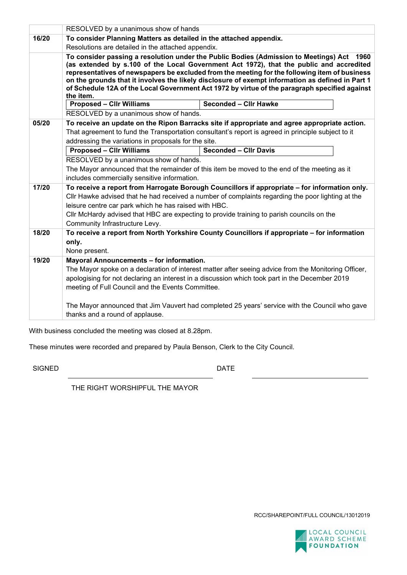|       | RESOLVED by a unanimous show of hands                                                   |                                                                                                                                                                                                                                                                                                                                                                                                                                                                                               |
|-------|-----------------------------------------------------------------------------------------|-----------------------------------------------------------------------------------------------------------------------------------------------------------------------------------------------------------------------------------------------------------------------------------------------------------------------------------------------------------------------------------------------------------------------------------------------------------------------------------------------|
| 16/20 | To consider Planning Matters as detailed in the attached appendix.                      |                                                                                                                                                                                                                                                                                                                                                                                                                                                                                               |
|       | Resolutions are detailed in the attached appendix.                                      |                                                                                                                                                                                                                                                                                                                                                                                                                                                                                               |
|       | the item.                                                                               | To consider passing a resolution under the Public Bodies (Admission to Meetings) Act<br>1960<br>(as extended by s.100 of the Local Government Act 1972), that the public and accredited<br>representatives of newspapers be excluded from the meeting for the following item of business<br>on the grounds that it involves the likely disclosure of exempt information as defined in Part 1<br>of Schedule 12A of the Local Government Act 1972 by virtue of the paragraph specified against |
|       | <b>Proposed - Cllr Williams</b>                                                         | <b>Seconded - Cllr Hawke</b>                                                                                                                                                                                                                                                                                                                                                                                                                                                                  |
|       | RESOLVED by a unanimous show of hands.                                                  |                                                                                                                                                                                                                                                                                                                                                                                                                                                                                               |
| 05/20 | addressing the variations in proposals for the site.                                    | To receive an update on the Ripon Barracks site if appropriate and agree appropriate action.<br>That agreement to fund the Transportation consultant's report is agreed in principle subject to it                                                                                                                                                                                                                                                                                            |
|       | <b>Proposed - CIIr Williams</b>                                                         | Seconded - Cllr Davis                                                                                                                                                                                                                                                                                                                                                                                                                                                                         |
|       | RESOLVED by a unanimous show of hands.                                                  |                                                                                                                                                                                                                                                                                                                                                                                                                                                                                               |
|       |                                                                                         | The Mayor announced that the remainder of this item be moved to the end of the meeting as it                                                                                                                                                                                                                                                                                                                                                                                                  |
|       | includes commercially sensitive information.                                            |                                                                                                                                                                                                                                                                                                                                                                                                                                                                                               |
| 17/20 | leisure centre car park which he has raised with HBC.<br>Community Infrastructure Levy. | To receive a report from Harrogate Borough Councillors if appropriate - for information only.<br>CIIr Hawke advised that he had received a number of complaints regarding the poor lighting at the<br>Cllr McHardy advised that HBC are expecting to provide training to parish councils on the                                                                                                                                                                                               |
| 18/20 |                                                                                         | To receive a report from North Yorkshire County Councillors if appropriate - for information                                                                                                                                                                                                                                                                                                                                                                                                  |
|       | only.                                                                                   |                                                                                                                                                                                                                                                                                                                                                                                                                                                                                               |
|       | None present.                                                                           |                                                                                                                                                                                                                                                                                                                                                                                                                                                                                               |
| 19/20 | Mayoral Announcements - for information.                                                |                                                                                                                                                                                                                                                                                                                                                                                                                                                                                               |
|       | meeting of Full Council and the Events Committee.                                       | The Mayor spoke on a declaration of interest matter after seeing advice from the Monitoring Officer,<br>apologising for not declaring an interest in a discussion which took part in the December 2019                                                                                                                                                                                                                                                                                        |
|       | thanks and a round of applause.                                                         | The Mayor announced that Jim Vauvert had completed 25 years' service with the Council who gave                                                                                                                                                                                                                                                                                                                                                                                                |

With business concluded the meeting was closed at 8.28pm.

These minutes were recorded and prepared by Paula Benson, Clerk to the City Council.

SIGNED DATE

THE RIGHT WORSHIPFUL THE MAYOR

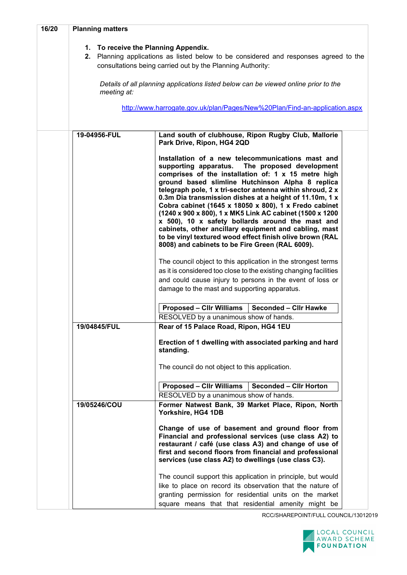| 16/20 | <b>Planning matters</b>              |                                                                                                                                                                                                                                                                                                                                                                                                                                                                                                                                                                             |
|-------|--------------------------------------|-----------------------------------------------------------------------------------------------------------------------------------------------------------------------------------------------------------------------------------------------------------------------------------------------------------------------------------------------------------------------------------------------------------------------------------------------------------------------------------------------------------------------------------------------------------------------------|
|       | 1. To receive the Planning Appendix. | 2. Planning applications as listed below to be considered and responses agreed to the<br>consultations being carried out by the Planning Authority:                                                                                                                                                                                                                                                                                                                                                                                                                         |
|       | meeting at:                          | Details of all planning applications listed below can be viewed online prior to the                                                                                                                                                                                                                                                                                                                                                                                                                                                                                         |
|       |                                      | http://www.harrogate.gov.uk/plan/Pages/New%20Plan/Find-an-application.aspx                                                                                                                                                                                                                                                                                                                                                                                                                                                                                                  |
|       | 19-04956-FUL                         | Land south of clubhouse, Ripon Rugby Club, Mallorie<br>Park Drive, Ripon, HG4 2QD                                                                                                                                                                                                                                                                                                                                                                                                                                                                                           |
|       |                                      | Installation of a new telecommunications mast and<br>supporting apparatus.<br>The proposed development<br>comprises of the installation of: 1 x 15 metre high<br>ground based slimline Hutchinson Alpha 8 replica<br>telegraph pole, 1 x tri-sector antenna within shroud, 2 x<br>0.3m Dia transmission dishes at a height of 11.10m, 1 x<br>Cobra cabinet (1645 x 18050 x 800), 1 x Fredo cabinet<br>(1240 x 900 x 800), 1 x MK5 Link AC cabinet (1500 x 1200<br>x 500), 10 x safety bollards around the mast and<br>cabinets, other ancillary equipment and cabling, mast |
|       |                                      | to be vinyl textured wood effect finish olive brown (RAL<br>8008) and cabinets to be Fire Green (RAL 6009).                                                                                                                                                                                                                                                                                                                                                                                                                                                                 |
|       |                                      | The council object to this application in the strongest terms<br>as it is considered too close to the existing changing facilities<br>and could cause injury to persons in the event of loss or<br>damage to the mast and supporting apparatus.                                                                                                                                                                                                                                                                                                                             |
|       |                                      | <b>Proposed - CIIr Williams</b><br>Seconded - Cllr Hawke<br>RESOLVED by a unanimous show of hands.                                                                                                                                                                                                                                                                                                                                                                                                                                                                          |
|       | 19/04845/FUL                         | Rear of 15 Palace Road, Ripon, HG4 1EU<br>Erection of 1 dwelling with associated parking and hard<br>standing.                                                                                                                                                                                                                                                                                                                                                                                                                                                              |
|       |                                      | The council do not object to this application.                                                                                                                                                                                                                                                                                                                                                                                                                                                                                                                              |
|       |                                      | <b>Seconded - Cllr Horton</b><br><b>Proposed – Clir Williams</b><br>RESOLVED by a unanimous show of hands.                                                                                                                                                                                                                                                                                                                                                                                                                                                                  |
|       | 19/05246/COU                         | Former Natwest Bank, 39 Market Place, Ripon, North<br>Yorkshire, HG4 1DB                                                                                                                                                                                                                                                                                                                                                                                                                                                                                                    |
|       |                                      | Change of use of basement and ground floor from<br>Financial and professional services (use class A2) to<br>restaurant / café (use class A3) and change of use of<br>first and second floors from financial and professional<br>services (use class A2) to dwellings (use class C3).                                                                                                                                                                                                                                                                                        |
|       |                                      | The council support this application in principle, but would<br>like to place on record its observation that the nature of<br>granting permission for residential units on the market<br>square means that that residential amenity might be                                                                                                                                                                                                                                                                                                                                |